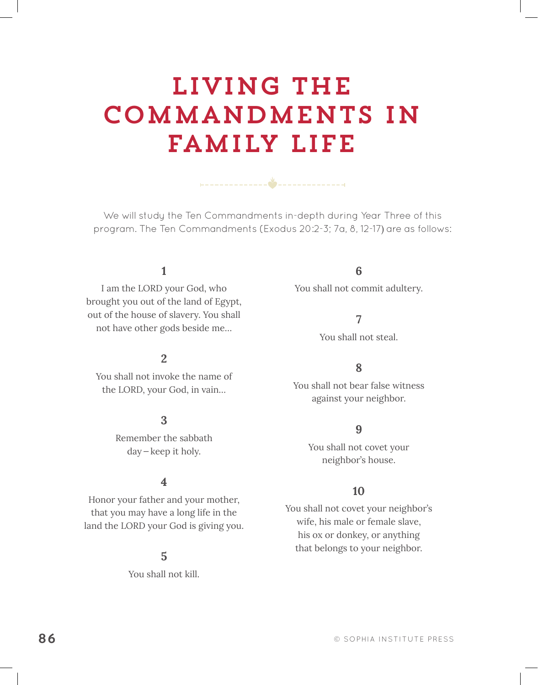# Living the Commandments in Family Life

We will study the Ten Commandments in-depth during Year Three of this program. The Ten Commandments (Exodus 20:2-3; 7a, 8, 12-17) are as follows:

# **1**

I am the LORD your God, who brought you out of the land of Egypt, out of the house of slavery. You shall not have other gods beside me…

# **2**

You shall not invoke the name of the LORD, your God, in vain…

### **3**

Remember the sabbath day—keep it holy.

### **4**

Honor your father and your mother, that you may have a long life in the land the LORD your God is giving you.

# **5**

You shall not kill.

# **6**

You shall not commit adultery.

#### **7**

You shall not steal.

#### **8**

You shall not bear false witness against your neighbor.

# **9**

You shall not covet your neighbor's house.

#### **10**

You shall not covet your neighbor's wife, his male or female slave, his ox or donkey, or anything that belongs to your neighbor.